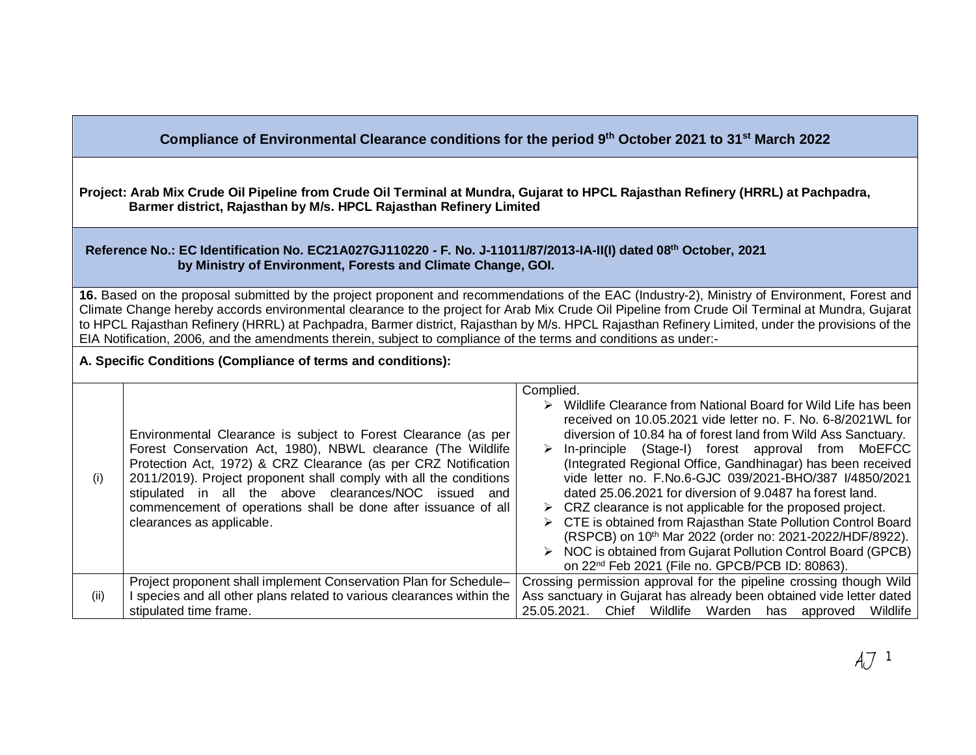**Compliance of Environmental Clearance conditions for the period 9 th October 2021 to 31st March 2022**

**Project: Arab Mix Crude Oil Pipeline from Crude Oil Terminal at Mundra, Gujarat to HPCL Rajasthan Refinery (HRRL) at Pachpadra, Barmer district, Rajasthan by M/s. HPCL Rajasthan Refinery Limited**

## **Reference No.: EC Identification No. EC21A027GJ110220 - F. No. J-11011/87/2013-IA-II(I) dated 08th October, 2021 by Ministry of Environment, Forests and Climate Change, GOI.**

**16.** Based on the proposal submitted by the project proponent and recommendations of the EAC (Industry-2), Ministry of Environment, Forest and Climate Change hereby accords environmental clearance to the project for Arab Mix Crude Oil Pipeline from Crude Oil Terminal at Mundra, Gujarat to HPCL Rajasthan Refinery (HRRL) at Pachpadra, Barmer district, Rajasthan by M/s. HPCL Rajasthan Refinery Limited, under the provisions of the EIA Notification, 2006, and the amendments therein, subject to compliance of the terms and conditions as under:-

**A. Specific Conditions (Compliance of terms and conditions):**

|      |                                                                        | Complied.                                                                      |
|------|------------------------------------------------------------------------|--------------------------------------------------------------------------------|
|      |                                                                        | $\triangleright$ Wildlife Clearance from National Board for Wild Life has been |
|      |                                                                        | received on 10.05.2021 vide letter no. F. No. 6-8/2021 WL for                  |
|      | Environmental Clearance is subject to Forest Clearance (as per         | diversion of 10.84 ha of forest land from Wild Ass Sanctuary.                  |
|      | Forest Conservation Act, 1980), NBWL clearance (The Wildlife           | In-principle (Stage-I) forest approval from MoEFCC                             |
|      | Protection Act, 1972) & CRZ Clearance (as per CRZ Notification         | (Integrated Regional Office, Gandhinagar) has been received                    |
| (i)  | 2011/2019). Project proponent shall comply with all the conditions     | vide letter no. F.No.6-GJC 039/2021-BHO/387 I/4850/2021                        |
|      | stipulated in all the above clearances/NOC issued and                  | dated 25,06,2021 for diversion of 9,0487 ha forest land.                       |
|      | commencement of operations shall be done after issuance of all         | $\triangleright$ CRZ clearance is not applicable for the proposed project.     |
|      | clearances as applicable.                                              | > CTE is obtained from Rajasthan State Pollution Control Board                 |
|      |                                                                        | (RSPCB) on 10 <sup>th</sup> Mar 2022 (order no: 2021-2022/HDF/8922).           |
|      |                                                                        | $\triangleright$ NOC is obtained from Gujarat Pollution Control Board (GPCB)   |
|      |                                                                        | on 22 <sup>nd</sup> Feb 2021 (File no. GPCB/PCB ID: 80863).                    |
|      | Project proponent shall implement Conservation Plan for Schedule-      | Crossing permission approval for the pipeline crossing though Wild             |
| (ii) | I species and all other plans related to various clearances within the | Ass sanctuary in Gujarat has already been obtained vide letter dated           |
|      | stipulated time frame.                                                 | 25.05.2021. Chief Wildlife Warden has approved<br>Wildlife                     |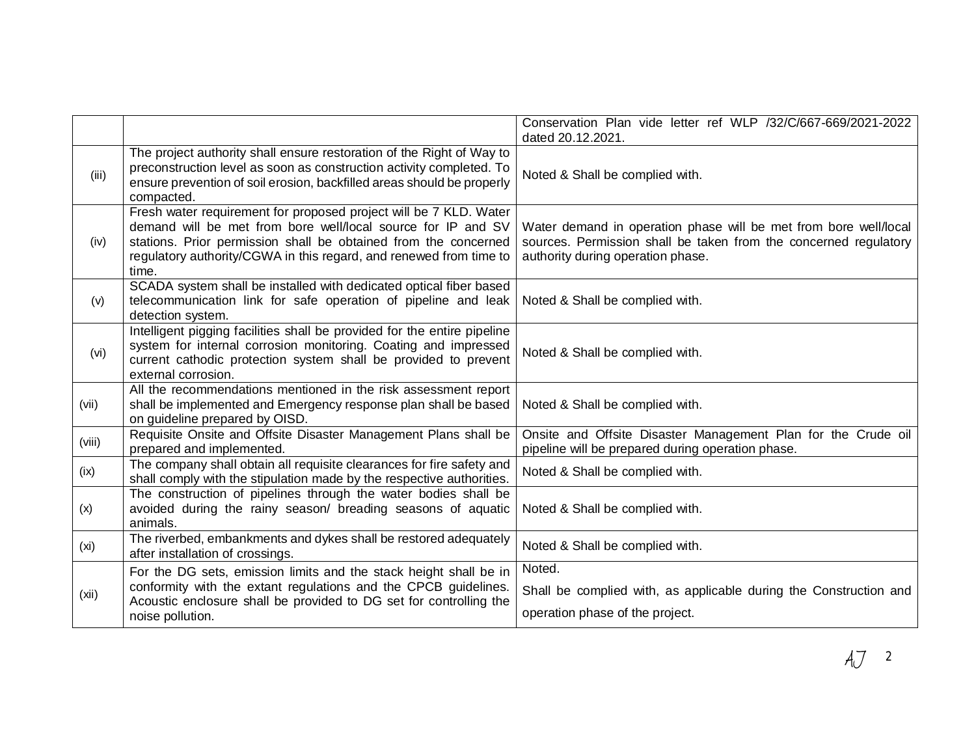|                   |                                                                                                                                                                                                                                                                                     | Conservation Plan vide letter ref WLP /32/C/667-669/2021-2022<br>dated 20.12.2021.                                                                                        |
|-------------------|-------------------------------------------------------------------------------------------------------------------------------------------------------------------------------------------------------------------------------------------------------------------------------------|---------------------------------------------------------------------------------------------------------------------------------------------------------------------------|
| (iii)             | The project authority shall ensure restoration of the Right of Way to<br>preconstruction level as soon as construction activity completed. To<br>ensure prevention of soil erosion, backfilled areas should be properly<br>compacted.                                               | Noted & Shall be complied with.                                                                                                                                           |
| (iv)              | Fresh water requirement for proposed project will be 7 KLD. Water<br>demand will be met from bore well/local source for IP and SV<br>stations. Prior permission shall be obtained from the concerned<br>regulatory authority/CGWA in this regard, and renewed from time to<br>time. | Water demand in operation phase will be met from bore well/local<br>sources. Permission shall be taken from the concerned regulatory<br>authority during operation phase. |
| (v)               | SCADA system shall be installed with dedicated optical fiber based<br>telecommunication link for safe operation of pipeline and leak<br>detection system.                                                                                                                           | Noted & Shall be complied with.                                                                                                                                           |
| (vi)              | Intelligent pigging facilities shall be provided for the entire pipeline<br>system for internal corrosion monitoring. Coating and impressed<br>current cathodic protection system shall be provided to prevent<br>external corrosion.                                               | Noted & Shall be complied with.                                                                                                                                           |
| (vii)             | All the recommendations mentioned in the risk assessment report<br>shall be implemented and Emergency response plan shall be based<br>on guideline prepared by OISD.                                                                                                                | Noted & Shall be complied with.                                                                                                                                           |
| (viii)            | Requisite Onsite and Offsite Disaster Management Plans shall be<br>prepared and implemented.                                                                                                                                                                                        | Onsite and Offsite Disaster Management Plan for the Crude oil<br>pipeline will be prepared during operation phase.                                                        |
| (ix)              | The company shall obtain all requisite clearances for fire safety and<br>shall comply with the stipulation made by the respective authorities.                                                                                                                                      | Noted & Shall be complied with.                                                                                                                                           |
| (x)               | The construction of pipelines through the water bodies shall be<br>avoided during the rainy season/ breading seasons of aquatic<br>animals.                                                                                                                                         | Noted & Shall be complied with.                                                                                                                                           |
| (x <sub>i</sub> ) | The riverbed, embankments and dykes shall be restored adequately<br>after installation of crossings.                                                                                                                                                                                | Noted & Shall be complied with.                                                                                                                                           |
| (xii)             | For the DG sets, emission limits and the stack height shall be in<br>conformity with the extant regulations and the CPCB guidelines.<br>Acoustic enclosure shall be provided to DG set for controlling the<br>noise pollution.                                                      | Noted.<br>Shall be complied with, as applicable during the Construction and<br>operation phase of the project.                                                            |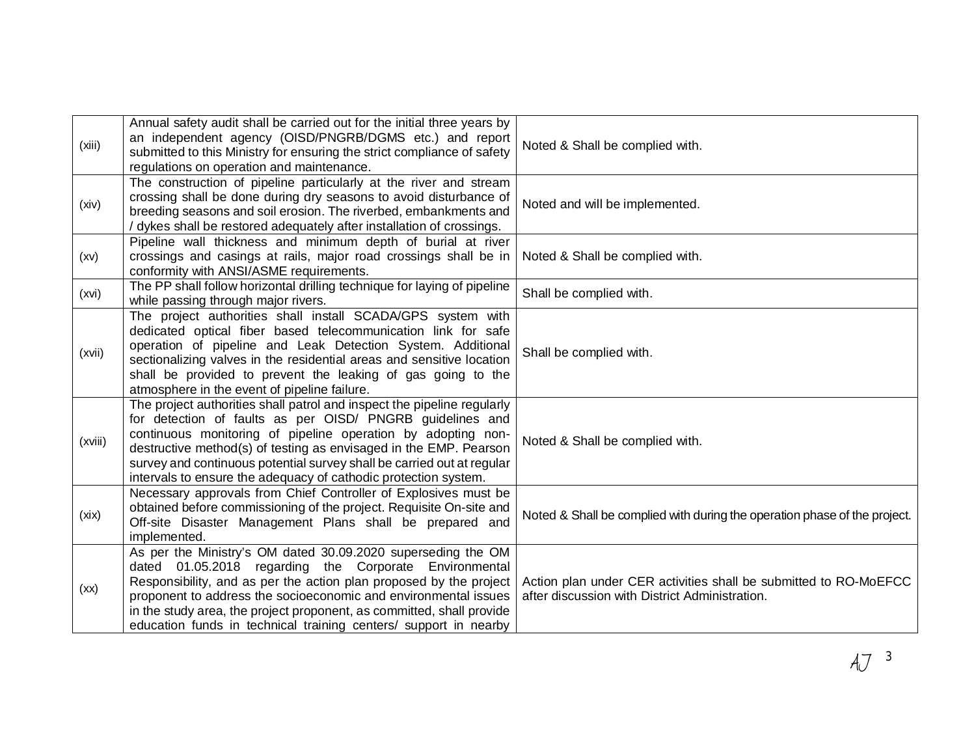| (xiii)  | Annual safety audit shall be carried out for the initial three years by<br>an independent agency (OISD/PNGRB/DGMS etc.) and report<br>submitted to this Ministry for ensuring the strict compliance of safety<br>regulations on operation and maintenance.                                                                                                                                                             | Noted & Shall be complied with.                                                                                    |
|---------|------------------------------------------------------------------------------------------------------------------------------------------------------------------------------------------------------------------------------------------------------------------------------------------------------------------------------------------------------------------------------------------------------------------------|--------------------------------------------------------------------------------------------------------------------|
| (xiv)   | The construction of pipeline particularly at the river and stream<br>crossing shall be done during dry seasons to avoid disturbance of<br>breeding seasons and soil erosion. The riverbed, embankments and<br>/ dykes shall be restored adequately after installation of crossings.                                                                                                                                    | Noted and will be implemented.                                                                                     |
| (xv)    | Pipeline wall thickness and minimum depth of burial at river<br>crossings and casings at rails, major road crossings shall be in<br>conformity with ANSI/ASME requirements.                                                                                                                                                                                                                                            | Noted & Shall be complied with.                                                                                    |
| (xvi)   | The PP shall follow horizontal drilling technique for laying of pipeline<br>while passing through major rivers.                                                                                                                                                                                                                                                                                                        | Shall be complied with.                                                                                            |
| (xvii)  | The project authorities shall install SCADA/GPS system with<br>dedicated optical fiber based telecommunication link for safe<br>operation of pipeline and Leak Detection System. Additional<br>sectionalizing valves in the residential areas and sensitive location<br>shall be provided to prevent the leaking of gas going to the<br>atmosphere in the event of pipeline failure.                                   | Shall be complied with.                                                                                            |
| (xviii) | The project authorities shall patrol and inspect the pipeline regularly<br>for detection of faults as per OISD/ PNGRB guidelines and<br>continuous monitoring of pipeline operation by adopting non-<br>destructive method(s) of testing as envisaged in the EMP. Pearson<br>survey and continuous potential survey shall be carried out at regular<br>intervals to ensure the adequacy of cathodic protection system. | Noted & Shall be complied with.                                                                                    |
| (xix)   | Necessary approvals from Chief Controller of Explosives must be<br>obtained before commissioning of the project. Requisite On-site and<br>Off-site Disaster Management Plans shall be prepared and<br>implemented.                                                                                                                                                                                                     | Noted & Shall be complied with during the operation phase of the project.                                          |
| (xx)    | As per the Ministry's OM dated 30.09.2020 superseding the OM<br>dated 01.05.2018 regarding the Corporate Environmental<br>Responsibility, and as per the action plan proposed by the project<br>proponent to address the socioeconomic and environmental issues<br>in the study area, the project proponent, as committed, shall provide<br>education funds in technical training centers/ support in nearby           | Action plan under CER activities shall be submitted to RO-MoEFCC<br>after discussion with District Administration. |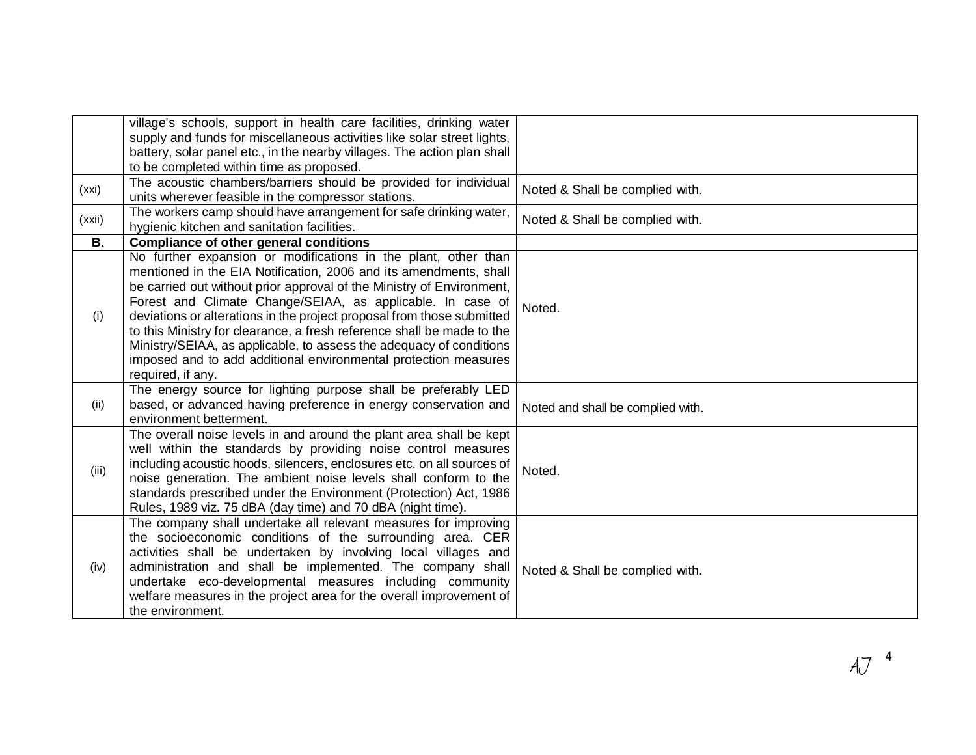|        | village's schools, support in health care facilities, drinking water<br>supply and funds for miscellaneous activities like solar street lights,<br>battery, solar panel etc., in the nearby villages. The action plan shall<br>to be completed within time as proposed.                                                                                                                                                                                                                                                                                                                       |                                   |
|--------|-----------------------------------------------------------------------------------------------------------------------------------------------------------------------------------------------------------------------------------------------------------------------------------------------------------------------------------------------------------------------------------------------------------------------------------------------------------------------------------------------------------------------------------------------------------------------------------------------|-----------------------------------|
| (xxi)  | The acoustic chambers/barriers should be provided for individual<br>units wherever feasible in the compressor stations.                                                                                                                                                                                                                                                                                                                                                                                                                                                                       | Noted & Shall be complied with.   |
| (xxii) | The workers camp should have arrangement for safe drinking water,<br>hygienic kitchen and sanitation facilities.                                                                                                                                                                                                                                                                                                                                                                                                                                                                              | Noted & Shall be complied with.   |
| В.     | <b>Compliance of other general conditions</b>                                                                                                                                                                                                                                                                                                                                                                                                                                                                                                                                                 |                                   |
| (i)    | No further expansion or modifications in the plant, other than<br>mentioned in the EIA Notification, 2006 and its amendments, shall<br>be carried out without prior approval of the Ministry of Environment,<br>Forest and Climate Change/SEIAA, as applicable. In case of<br>deviations or alterations in the project proposal from those submitted<br>to this Ministry for clearance, a fresh reference shall be made to the<br>Ministry/SEIAA, as applicable, to assess the adequacy of conditions<br>imposed and to add additional environmental protection measures<br>required, if any. | Noted.                            |
| (ii)   | The energy source for lighting purpose shall be preferably LED<br>based, or advanced having preference in energy conservation and<br>environment betterment.                                                                                                                                                                                                                                                                                                                                                                                                                                  | Noted and shall be complied with. |
| (iii)  | The overall noise levels in and around the plant area shall be kept<br>well within the standards by providing noise control measures<br>including acoustic hoods, silencers, enclosures etc. on all sources of<br>noise generation. The ambient noise levels shall conform to the<br>standards prescribed under the Environment (Protection) Act, 1986<br>Rules, 1989 viz. 75 dBA (day time) and 70 dBA (night time).                                                                                                                                                                         | Noted.                            |
| (iv)   | The company shall undertake all relevant measures for improving<br>the socioeconomic conditions of the surrounding area. CER<br>activities shall be undertaken by involving local villages and<br>administration and shall be implemented. The company shall<br>undertake eco-developmental measures including community<br>welfare measures in the project area for the overall improvement of<br>the environment.                                                                                                                                                                           | Noted & Shall be complied with.   |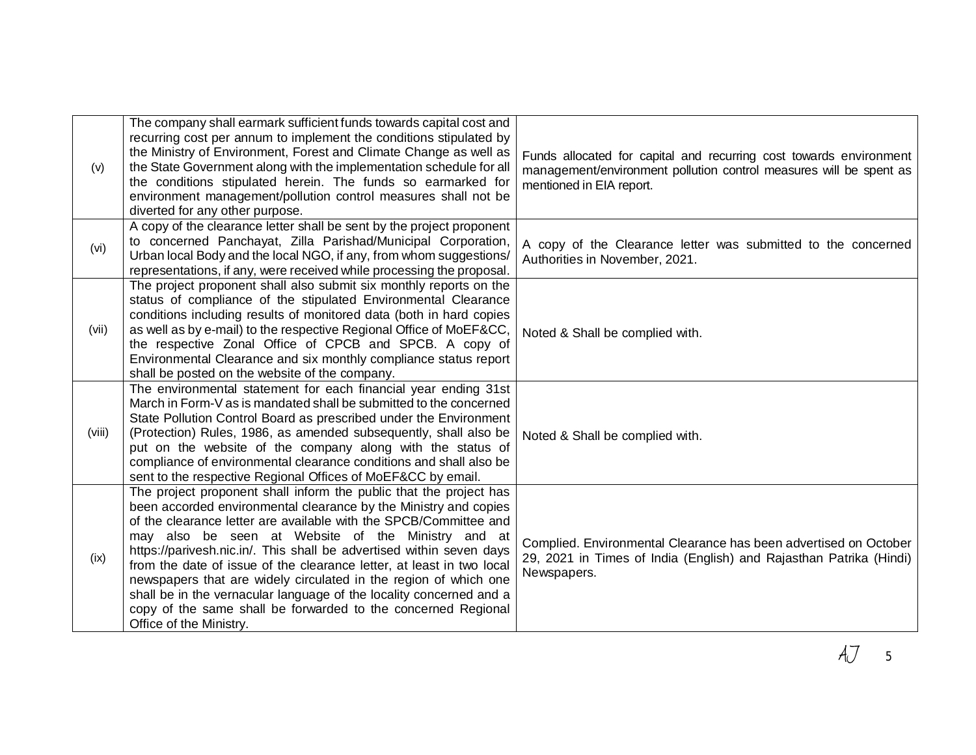| (v)    | The company shall earmark sufficient funds towards capital cost and<br>recurring cost per annum to implement the conditions stipulated by<br>the Ministry of Environment, Forest and Climate Change as well as<br>the State Government along with the implementation schedule for all<br>the conditions stipulated herein. The funds so earmarked for<br>environment management/pollution control measures shall not be<br>diverted for any other purpose.                                                                                                                                                                                                | Funds allocated for capital and recurring cost towards environment<br>management/environment pollution control measures will be spent as<br>mentioned in EIA report. |
|--------|-----------------------------------------------------------------------------------------------------------------------------------------------------------------------------------------------------------------------------------------------------------------------------------------------------------------------------------------------------------------------------------------------------------------------------------------------------------------------------------------------------------------------------------------------------------------------------------------------------------------------------------------------------------|----------------------------------------------------------------------------------------------------------------------------------------------------------------------|
| (vi)   | A copy of the clearance letter shall be sent by the project proponent<br>to concerned Panchayat, Zilla Parishad/Municipal Corporation,<br>Urban local Body and the local NGO, if any, from whom suggestions/<br>representations, if any, were received while processing the proposal.                                                                                                                                                                                                                                                                                                                                                                     | A copy of the Clearance letter was submitted to the concerned<br>Authorities in November, 2021.                                                                      |
| (vii)  | The project proponent shall also submit six monthly reports on the<br>status of compliance of the stipulated Environmental Clearance<br>conditions including results of monitored data (both in hard copies<br>as well as by e-mail) to the respective Regional Office of MoEF&CC,<br>the respective Zonal Office of CPCB and SPCB. A copy of<br>Environmental Clearance and six monthly compliance status report<br>shall be posted on the website of the company.                                                                                                                                                                                       | Noted & Shall be complied with.                                                                                                                                      |
| (viii) | The environmental statement for each financial year ending 31st<br>March in Form-V as is mandated shall be submitted to the concerned<br>State Pollution Control Board as prescribed under the Environment<br>(Protection) Rules, 1986, as amended subsequently, shall also be<br>put on the website of the company along with the status of<br>compliance of environmental clearance conditions and shall also be<br>sent to the respective Regional Offices of MoEF&CC by email.                                                                                                                                                                        | Noted & Shall be complied with.                                                                                                                                      |
| (ix)   | The project proponent shall inform the public that the project has<br>been accorded environmental clearance by the Ministry and copies<br>of the clearance letter are available with the SPCB/Committee and<br>may also be seen at Website of the Ministry and at<br>https://parivesh.nic.in/. This shall be advertised within seven days<br>from the date of issue of the clearance letter, at least in two local<br>newspapers that are widely circulated in the region of which one<br>shall be in the vernacular language of the locality concerned and a<br>copy of the same shall be forwarded to the concerned Regional<br>Office of the Ministry. | Complied. Environmental Clearance has been advertised on October<br>29, 2021 in Times of India (English) and Rajasthan Patrika (Hindi)<br>Newspapers.                |